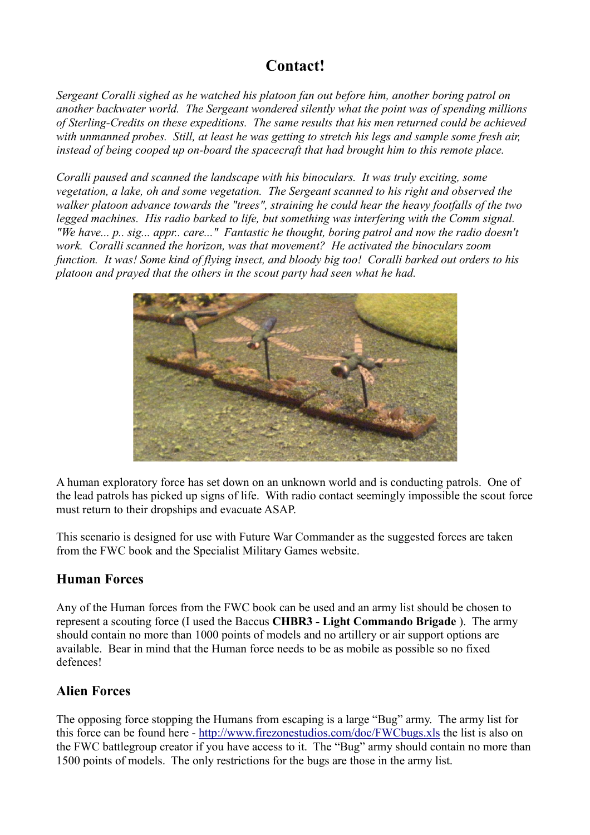# **Contact!**

*Sergeant Coralli sighed as he watched his platoon fan out before him, another boring patrol on another backwater world. The Sergeant wondered silently what the point was of spending millions of Sterling-Credits on these expeditions. The same results that his men returned could be achieved with unmanned probes. Still, at least he was getting to stretch his legs and sample some fresh air, instead of being cooped up on-board the spacecraft that had brought him to this remote place.*

*Coralli paused and scanned the landscape with his binoculars. It was truly exciting, some vegetation, a lake, oh and some vegetation. The Sergeant scanned to his right and observed the walker platoon advance towards the "trees", straining he could hear the heavy footfalls of the two legged machines. His radio barked to life, but something was interfering with the Comm signal. "We have... p.. sig... appr.. care..." Fantastic he thought, boring patrol and now the radio doesn't work. Coralli scanned the horizon, was that movement? He activated the binoculars zoom function. It was! Some kind of flying insect, and bloody big too! Coralli barked out orders to his platoon and prayed that the others in the scout party had seen what he had.*



A human exploratory force has set down on an unknown world and is conducting patrols. One of the lead patrols has picked up signs of life. With radio contact seemingly impossible the scout force must return to their dropships and evacuate ASAP.

This scenario is designed for use with Future War Commander as the suggested forces are taken from the FWC book and the Specialist Military Games website.

## **Human Forces**

Any of the Human forces from the FWC book can be used and an army list should be chosen to represent a scouting force (I used the Baccus **CHBR3 - Light Commando Brigade** ). The army should contain no more than 1000 points of models and no artillery or air support options are available. Bear in mind that the Human force needs to be as mobile as possible so no fixed defences!

## **Alien Forces**

The opposing force stopping the Humans from escaping is a large "Bug" army. The army list for this force can be found here -<http://www.firezonestudios.com/doc/FWCbugs.xls> the list is also on the FWC battlegroup creator if you have access to it. The "Bug" army should contain no more than 1500 points of models. The only restrictions for the bugs are those in the army list.